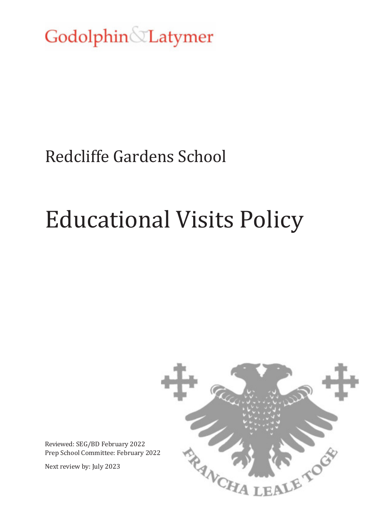Godolphin Latymer

## Redcliffe Gardens School

# Educational Visits Policy



Reviewed: SEG/BD February 2022 Prep School Committee: February 2022

Next review by: July 2023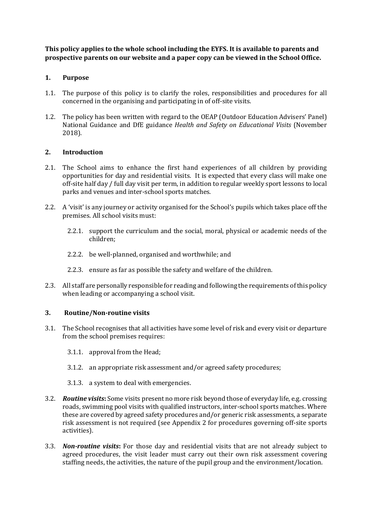**This policy applies to the whole school including the EYFS. It is available to parents and prospective parents on our website and a paper copy can be viewed in the School Office.** 

#### **1. Purpose**

- 1.1. The purpose of this policy is to clarify the roles, responsibilities and procedures for all concerned in the organising and participating in of off-site visits.
- 1.2. The policy has been written with regard to the OEAP (Outdoor Education Advisers' Panel) National Guidance and DfE guidance *Health and Safety on Educational Visits* (November 2018).

#### **2. Introduction**

- 2.1. The School aims to enhance the first hand experiences of all children by providing opportunities for day and residential visits. It is expected that every class will make one off-site half day / full day visit per term, in addition to regular weekly sport lessons to local parks and venues and inter-school sports matches.
- 2.2. A 'visit' is any journey or activity organised for the School's pupils which takes place off the premises. All school visits must:
	- 2.2.1. support the curriculum and the social, moral, physical or academic needs of the children;
	- 2.2.2. be well-planned, organised and worthwhile; and
	- 2.2.3. ensure as far as possible the safety and welfare of the children.
- 2.3. All staff are personally responsible for reading and following the requirements of this policy when leading or accompanying a school visit.

#### **3. Routine/Non-routine visits**

- 3.1. The School recognises that all activities have some level of risk and every visit or departure from the school premises requires:
	- 3.1.1. approval from the Head;
	- 3.1.2. an appropriate risk assessment and/or agreed safety procedures;
	- 3.1.3. a system to deal with emergencies.
- 3.2. *Routine visits***:** Some visits present no more risk beyond those of everyday life, e.g. crossing roads, swimming pool visits with qualified instructors, inter-school sports matches. Where these are covered by agreed safety procedures and/or generic risk assessments, a separate risk assessment is not required (see Appendix 2 for procedures governing off-site sports activities).
- 3.3. *Non-routine visits***:** For those day and residential visits that are not already subject to agreed procedures, the visit leader must carry out their own risk assessment covering staffing needs, the activities, the nature of the pupil group and the environment/location.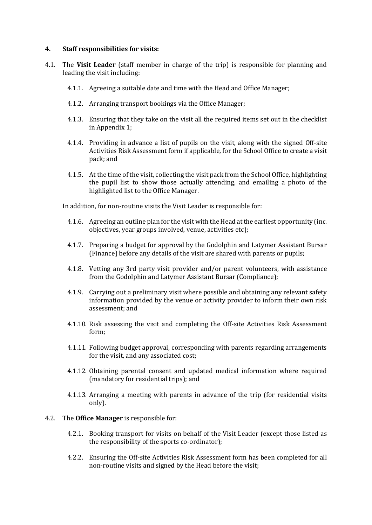#### **4. Staff responsibilities for visits:**

- 4.1. The **Visit Leader** (staff member in charge of the trip) is responsible for planning and leading the visit including:
	- 4.1.1. Agreeing a suitable date and time with the Head and Office Manager;
	- 4.1.2. Arranging transport bookings via the Office Manager;
	- 4.1.3. Ensuring that they take on the visit all the required items set out in the checklist in Appendix 1;
	- 4.1.4. Providing in advance a list of pupils on the visit, along with the signed Off-site Activities Risk Assessment form if applicable, for the School Office to create a visit pack; and
	- 4.1.5. At the time of the visit, collecting the visit pack from the School Office, highlighting the pupil list to show those actually attending, and emailing a photo of the highlighted list to the Office Manager.

In addition, for non-routine visits the Visit Leader is responsible for:

- 4.1.6. Agreeing an outline plan for the visit with the Head at the earliest opportunity (inc. objectives, year groups involved, venue, activities etc);
- 4.1.7. Preparing a budget for approval by the Godolphin and Latymer Assistant Bursar (Finance) before any details of the visit are shared with parents or pupils;
- 4.1.8. Vetting any 3rd party visit provider and/or parent volunteers, with assistance from the Godolphin and Latymer Assistant Bursar (Compliance);
- 4.1.9. Carrying out a preliminary visit where possible and obtaining any relevant safety information provided by the venue or activity provider to inform their own risk assessment; and
- 4.1.10. Risk assessing the visit and completing the Off-site Activities Risk Assessment form;
- 4.1.11. Following budget approval, corresponding with parents regarding arrangements for the visit, and any associated cost;
- 4.1.12. Obtaining parental consent and updated medical information where required (mandatory for residential trips); and
- 4.1.13. Arranging a meeting with parents in advance of the trip (for residential visits only).

#### 4.2. The **Office Manager** is responsible for:

- 4.2.1. Booking transport for visits on behalf of the Visit Leader (except those listed as the responsibility of the sports co-ordinator);
- 4.2.2. Ensuring the Off-site Activities Risk Assessment form has been completed for all non-routine visits and signed by the Head before the visit;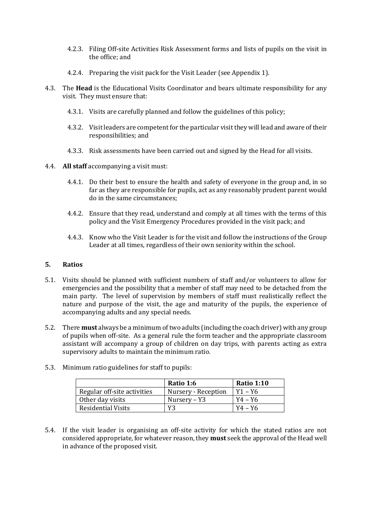- 4.2.3. Filing Off-site Activities Risk Assessment forms and lists of pupils on the visit in the office; and
- 4.2.4. Preparing the visit pack for the Visit Leader (see Appendix 1).
- 4.3. The **Head** is the Educational Visits Coordinator and bears ultimate responsibility for any visit. They must ensure that:
	- 4.3.1. Visits are carefully planned and follow the guidelines of this policy;
	- 4.3.2. Visit leaders are competent for the particular visit they will lead and aware of their responsibilities; and
	- 4.3.3. Risk assessments have been carried out and signed by the Head for all visits.
- 4.4. **All staff** accompanying a visit must:
	- 4.4.1. Do their best to ensure the health and safety of everyone in the group and, in so far as they are responsible for pupils, act as any reasonably prudent parent would do in the same circumstances;
	- 4.4.2. Ensure that they read, understand and comply at all times with the terms of this policy and the Visit Emergency Procedures provided in the visit pack; and
	- 4.4.3. Know who the Visit Leader is for the visit and follow the instructions of the Group Leader at all times, regardless of their own seniority within the school.

#### **5. Ratios**

- 5.1. Visits should be planned with sufficient numbers of staff and/or volunteers to allow for emergencies and the possibility that a member of staff may need to be detached from the main party. The level of supervision by members of staff must realistically reflect the nature and purpose of the visit, the age and maturity of the pupils, the experience of accompanying adults and any special needs.
- 5.2. There **must** always be a minimum of two adults (including the coach driver) with any group of pupils when off-site. As a general rule the form teacher and the appropriate classroom assistant will accompany a group of children on day trips, with parents acting as extra supervisory adults to maintain the minimum ratio.

|                             | Ratio 1:6           | <b>Ratio 1:10</b> |
|-----------------------------|---------------------|-------------------|
| Regular off-site activities | Nursery - Reception | $Y1 - Y6$         |
| Other day visits            | Nursery – Y3        | $Y4 - Y6$         |
| <b>Residential Visits</b>   | Y3                  | $Y4 - Y6$         |

5.3. Minimum ratio guidelines for staff to pupils:

5.4. If the visit leader is organising an off-site activity for which the stated ratios are not considered appropriate, for whatever reason, they **must** seek the approval of the Head well in advance of the proposed visit.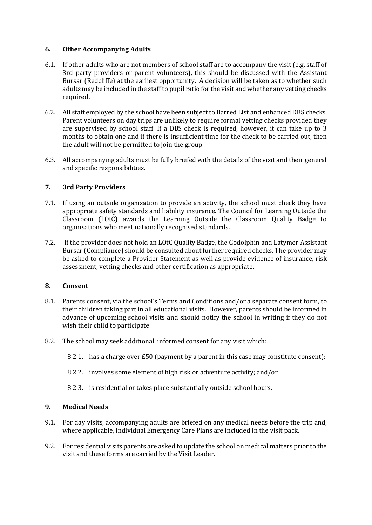#### **6. Other Accompanying Adults**

- 6.1. If other adults who are not members of school staff are to accompany the visit (e.g. staff of 3rd party providers or parent volunteers), this should be discussed with the Assistant Bursar (Redcliffe) at the earliest opportunity. A decision will be taken as to whether such adults may be included in the staff to pupil ratio for the visit and whether any vetting checks required**.**
- 6.2. All staff employed by the school have been subject to Barred List and enhanced DBS checks. Parent volunteers on day trips are unlikely to require formal vetting checks provided they are supervised by school staff. If a DBS check is required, however, it can take up to 3 months to obtain one and if there is insufficient time for the check to be carried out, then the adult will not be permitted to join the group.
- 6.3. All accompanying adults must be fully briefed with the details of the visit and their general and specific responsibilities.

#### **7. 3rd Party Providers**

- 7.1. If using an outside organisation to provide an activity, the school must check they have appropriate safety standards and liability insurance. The Council for Learning Outside the Classroom (LOtC) awards the Learning Outside the Classroom Quality Badge to organisations who meet nationally recognised standards.
- 7.2. If the provider does not hold an LOtC Quality Badge, the Godolphin and Latymer Assistant Bursar (Compliance) should be consulted about further required checks. The provider may be asked to complete a Provider Statement as well as provide evidence of insurance, risk assessment, vetting checks and other certification as appropriate.

#### **8. Consent**

- 8.1. Parents consent, via the school's Terms and Conditions and/or a separate consent form, to their children taking part in all educational visits. However, parents should be informed in advance of upcoming school visits and should notify the school in writing if they do not wish their child to participate.
- 8.2. The school may seek additional, informed consent for any visit which:
	- 8.2.1. has a charge over £50 (payment by a parent in this case may constitute consent);
	- 8.2.2. involves some element of high risk or adventure activity; and/or
	- 8.2.3. is residential or takes place substantially outside school hours.

#### **9. Medical Needs**

- 9.1. For day visits, accompanying adults are briefed on any medical needs before the trip and, where applicable, individual Emergency Care Plans are included in the visit pack.
- 9.2. For residential visits parents are asked to update the school on medical matters prior to the visit and these forms are carried by the Visit Leader.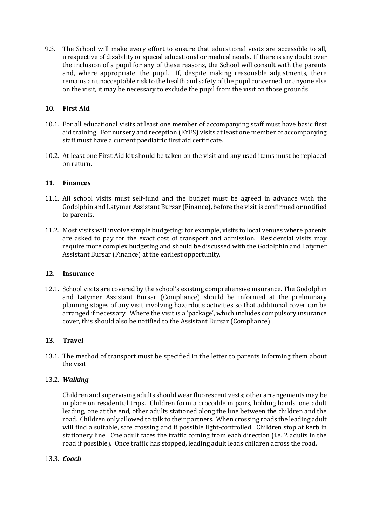9.3. The School will make every effort to ensure that educational visits are accessible to all, irrespective of disability or special educational or medical needs. If there is any doubt over the inclusion of a pupil for any of these reasons, the School will consult with the parents and, where appropriate, the pupil. If, despite making reasonable adjustments, there remains an unacceptable risk to the health and safety of the pupil concerned, or anyone else on the visit, it may be necessary to exclude the pupil from the visit on those grounds.

#### **10. First Aid**

- 10.1. For all educational visits at least one member of accompanying staff must have basic first aid training. For nursery and reception (EYFS) visits at least one member of accompanying staff must have a current paediatric first aid certificate.
- 10.2. At least one First Aid kit should be taken on the visit and any used items must be replaced on return.

#### **11. Finances**

- 11.1. All school visits must self-fund and the budget must be agreed in advance with the Godolphin and Latymer Assistant Bursar (Finance), before the visit is confirmed or notified to parents.
- 11.2. Most visits will involve simple budgeting: for example, visits to local venues where parents are asked to pay for the exact cost of transport and admission. Residential visits may require more complex budgeting and should be discussed with the Godolphin and Latymer Assistant Bursar (Finance) at the earliest opportunity.

#### **12. Insurance**

12.1. School visits are covered by the school's existing comprehensive insurance. The Godolphin and Latymer Assistant Bursar (Compliance) should be informed at the preliminary planning stages of any visit involving hazardous activities so that additional cover can be arranged if necessary. Where the visit is a 'package', which includes compulsory insurance cover, this should also be notified to the Assistant Bursar (Compliance).

#### **13. Travel**

13.1. The method of transport must be specified in the letter to parents informing them about the visit.

#### 13.2. *Walking*

Children and supervising adults should wear fluorescent vests; other arrangements may be in place on residential trips. Children form a crocodile in pairs, holding hands, one adult leading, one at the end, other adults stationed along the line between the children and the road. Children only allowed to talk to their partners. When crossing roads the leading adult will find a suitable, safe crossing and if possible light-controlled. Children stop at kerb in stationery line. One adult faces the traffic coming from each direction (i.e. 2 adults in the road if possible). Once traffic has stopped, leading adult leads children across the road.

#### 13.3. *Coach*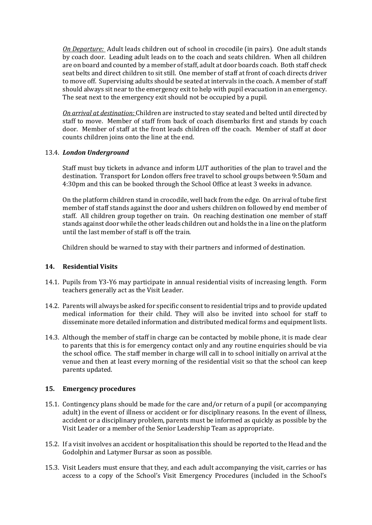*On Departure:* Adult leads children out of school in crocodile (in pairs). One adult stands by coach door. Leading adult leads on to the coach and seats children. When all children are on board and counted by a member of staff, adult at door boards coach. Both staff check seat belts and direct children to sit still. One member of staff at front of coach directs driver to move off. Supervising adults should be seated at intervals in the coach. A member of staff should always sit near to the emergency exit to help with pupil evacuation in an emergency. The seat next to the emergency exit should not be occupied by a pupil.

*On arrival at destination:* Children are instructed to stay seated and belted until directed by staff to move. Member of staff from back of coach disembarks first and stands by coach door. Member of staff at the front leads children off the coach. Member of staff at door counts children joins onto the line at the end.

#### 13.4. *London Underground*

Staff must buy tickets in advance and inform LUT authorities of the plan to travel and the destination. Transport for London offers free travel to school groups between 9:50am and 4:30pm and this can be booked through the School Office at least 3 weeks in advance.

On the platform children stand in crocodile, well back from the edge. On arrival of tube first member of staff stands against the door and ushers children on followed by end member of staff. All children group together on train. On reaching destination one member of staff stands against door while the other leads children out and holds the in a line on the platform until the last member of staff is off the train.

Children should be warned to stay with their partners and informed of destination.

#### **14. Residential Visits**

- 14.1. Pupils from Y3-Y6 may participate in annual residential visits of increasing length. Form teachers generally act as the Visit Leader.
- 14.2. Parents will always be asked for specific consent to residential trips and to provide updated medical information for their child. They will also be invited into school for staff to disseminate more detailed information and distributed medical forms and equipment lists.
- 14.3. Although the member of staff in charge can be contacted by mobile phone, it is made clear to parents that this is for emergency contact only and any routine enquiries should be via the school office. The staff member in charge will call in to school initially on arrival at the venue and then at least every morning of the residential visit so that the school can keep parents updated.

#### **15. Emergency procedures**

- 15.1. Contingency plans should be made for the care and/or return of a pupil (or accompanying adult) in the event of illness or accident or for disciplinary reasons. In the event of illness, accident or a disciplinary problem, parents must be informed as quickly as possible by the Visit Leader or a member of the Senior Leadership Team as appropriate.
- 15.2. If a visit involves an accident or hospitalisation this should be reported to the Head and the Godolphin and Latymer Bursar as soon as possible.
- 15.3. Visit Leaders must ensure that they, and each adult accompanying the visit, carries or has access to a copy of the School's Visit Emergency Procedures (included in the School's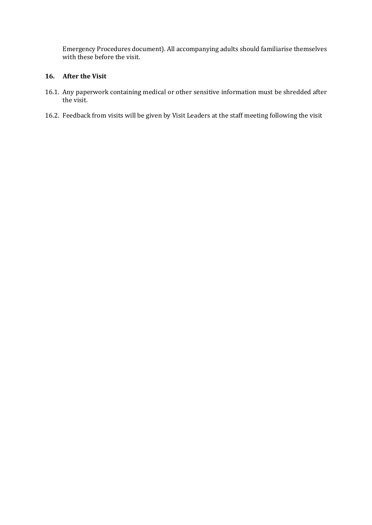Emergency Procedures document). All accompanying adults should familiarise themselves with these before the visit.

#### **16. After the Visit**

- 16.1. Any paperwork containing medical or other sensitive information must be shredded after the visit.
- 16.2. Feedback from visits will be given by Visit Leaders at the staff meeting following the visit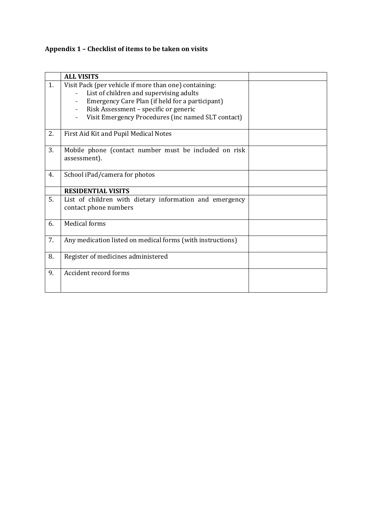### **Appendix 1 – Checklist of items to be taken on visits**

|    | <b>ALL VISITS</b>                                                                                                                                                                                                                                  |  |
|----|----------------------------------------------------------------------------------------------------------------------------------------------------------------------------------------------------------------------------------------------------|--|
| 1. | Visit Pack (per vehicle if more than one) containing:<br>List of children and supervising adults<br>Emergency Care Plan (if held for a participant)<br>Risk Assessment - specific or generic<br>Visit Emergency Procedures (inc named SLT contact) |  |
| 2. | First Aid Kit and Pupil Medical Notes                                                                                                                                                                                                              |  |
| 3. | Mobile phone (contact number must be included on risk<br>assessment).                                                                                                                                                                              |  |
| 4. | School iPad/camera for photos                                                                                                                                                                                                                      |  |
|    | <b>RESIDENTIAL VISITS</b>                                                                                                                                                                                                                          |  |
| 5. | List of children with dietary information and emergency<br>contact phone numbers                                                                                                                                                                   |  |
| 6. | <b>Medical forms</b>                                                                                                                                                                                                                               |  |
| 7. | Any medication listed on medical forms (with instructions)                                                                                                                                                                                         |  |
| 8. | Register of medicines administered                                                                                                                                                                                                                 |  |
| 9. | Accident record forms                                                                                                                                                                                                                              |  |